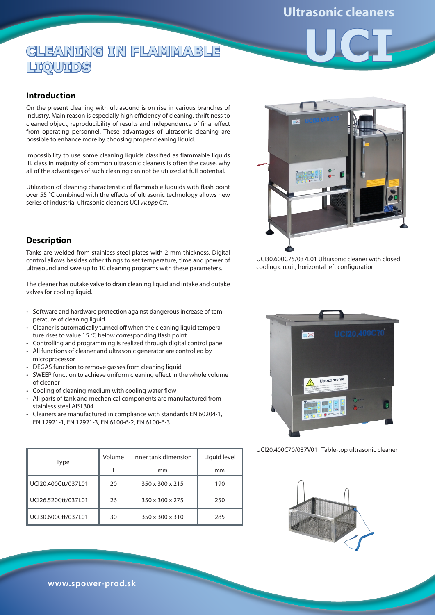## **Ultrasonic cleaners**

**UCI**

# **CLEANING IN FLAMMABLE LIQUIDS**

#### **Introduction**

On the present cleaning with ultrasound is on rise in various branches of industry. Main reason is especially high efficiency of cleaning, thriftiness to cleaned object, reproducibility of results and independence of final effect from operating personnel. These advantages of ultrasonic cleaning are possible to enhance more by choosing proper cleaning liquid.

Impossibility to use some cleaning liquids classified as flammable liquids III. class in majority of common ultrasonic cleaners is often the cause, why all of the advantages of such cleaning can not be utilized at full potential.

Utilization of cleaning characteristic of flammable luquids with flash point over 55 °C combined with the effects of ultrasonic technology allows new series of industrial ultrasonic cleaners UCI *vv.ppp Ctt.*

#### **Description**

Tanks are welded from stainless steel plates with 2 mm thickness. Digital control allows besides other things to set temperature, time and power of ultrasound and save up to 10 cleaning programs with these parameters.

The cleaner has outake valve to drain cleaning liquid and intake and outake valves for cooling liquid.

- Software and hardware protection against dangerous increase of temperature of cleaning liguid
- Cleaner is automatically turned off when the cleaning liquid temperature rises to value 15 °C below corresponding flash point •
- Controlling and programming is realized through digital control panel All functions of cleaner and ultrasonic generator are controlled by • •
- microprocessor
- DEGAS function to remove gasses from cleaning liquid •
- SWEEP function to achieve uniform cleaning effect in the whole volume of cleaner
- Cooling of cleaning medium with cooling water flow
- All parts of tank and mechanical components are manufactured from stainless steel AISI 304 •
- Cleaners are manufactured in compliance with standards EN 60204-1, EN 12921-1, EN 12921-3, EN 6100-6-2, EN 6100-6-3 •

| Type                | Volume | Inner tank dimension | Liquid level |
|---------------------|--------|----------------------|--------------|
|                     |        | mm                   | mm           |
| UCI20.400Ctt/037L01 | 20     | 350 x 300 x 215      | 190          |
| UCI26.520Ctt/037L01 | 26     | 350 x 300 x 275      | 250          |
| UCI30.600Ctt/037L01 | 30     | 350 x 300 x 310      | 285          |



UCI30.600C75/037L01 Ultrasonic cleaner with closed cooling circuit, horizontal left configuration



UCI20.400C70/037V01 Table-top ultrasonic cleaner